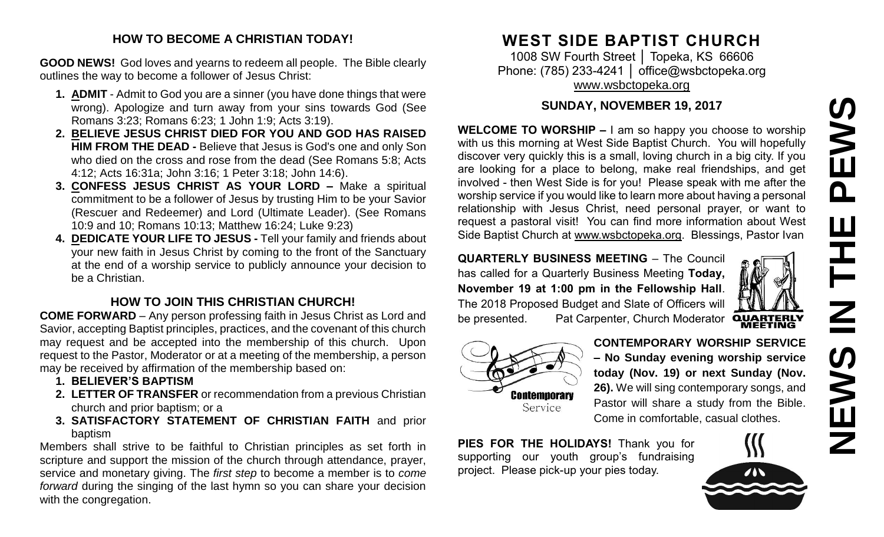# **NEWS IN THE PEWSPEWS** Ш エヒ<br>N EWS

## **HOW TO BECOME A CHRISTIAN TODAY!**

**GOOD NEWS!** God loves and yearns to redeem all people. The Bible clearly outlines the way to become a follower of Jesus Christ:

- **1. ADMIT** Admit to God you are a sinner (you have done things that were wrong). Apologize and turn away from your sins towards God (See Romans 3:23; Romans 6:23; 1 John 1:9; Acts 3:19).
- **2. BELIEVE JESUS CHRIST DIED FOR YOU AND GOD HAS RAISED HIM FROM THE DEAD -** Believe that Jesus is God's one and only Son who died on the cross and rose from the dead (See Romans 5:8; Acts 4:12; Acts 16:31a; John 3:16; 1 Peter 3:18; John 14:6).
- **3. CONFESS JESUS CHRIST AS YOUR LORD –** Make a spiritual commitment to be a follower of Jesus by trusting Him to be your Savior (Rescuer and Redeemer) and Lord (Ultimate Leader). (See Romans 10:9 and 10; Romans 10:13; Matthew 16:24; Luke 9:23)
- **4. DEDICATE YOUR LIFE TO JESUS -** Tell your family and friends about your new faith in Jesus Christ by coming to the front of the Sanctuary at the end of a worship service to publicly announce your decision to be a Christian.

## **HOW TO JOIN THIS CHRISTIAN CHURCH!**

**COME FORWARD** – Any person professing faith in Jesus Christ as Lord and Savior, accepting Baptist principles, practices, and the covenant of this church may request and be accepted into the membership of this church. Upon request to the Pastor, Moderator or at a meeting of the membership, a person may be received by affirmation of the membership based on:

- **1. BELIEVER'S BAPTISM**
- **2. LETTER OF TRANSFER** or recommendation from a previous Christian church and prior baptism; or a
- **3. SATISFACTORY STATEMENT OF CHRISTIAN FAITH** and prior baptism

Members shall strive to be faithful to Christian principles as set forth in scripture and support the mission of the church through attendance, prayer, service and monetary giving. The *first step* to become a member is to *come forward* during the singing of the last hymn so you can share your decision with the congregation.

# **WEST SIDE BAPTIST CHURCH**

1008 SW Fourth Street │ Topeka, KS 66606 Phone: (785) 233-4241 │ [office@wsbctopeka.org](mailto:office@wsbctopeka.org) [www.wsbctopeka.org](http://www.wsbctopeka.org/)

## **SUNDAY, NOVEMBER 19, 2017**

**WELCOME TO WORSHIP –** I am so happy you choose to worship with us this morning at West Side Baptist Church. You will hopefully discover very quickly this is a small, loving church in a big city. If you are looking for a place to belong, make real friendships, and get involved - then West Side is for you! Please speak with me after the worship service if you would like to learn more about having a personal relationship with Jesus Christ, need personal prayer, or want to request a pastoral visit! You can find more information about West Side Baptist Church at [www.wsbctopeka.org.](http://www.wsbctopeka.org/) Blessings, Pastor Ivan

**QUARTERLY BUSINESS MEETING** – The Council has called for a Quarterly Business Meeting **Today, November 19 at 1:00 pm in the Fellowship Hall**. The 2018 Proposed Budget and Slate of Officers will **QUARTERLY**<br>MEETING be presented. Pat Carpenter, Church Moderator



**CONTEMPORARY WORSHIP SERVICE – No Sunday evening worship service today (Nov. 19) or next Sunday (Nov. 26).** We will sing contemporary songs, and Pastor will share a study from the Bible. Come in comfortable, casual clothes.

**PIES FOR THE HOLIDAYS!** Thank you for supporting our youth group's fundraising project. Please pick-up your pies today.

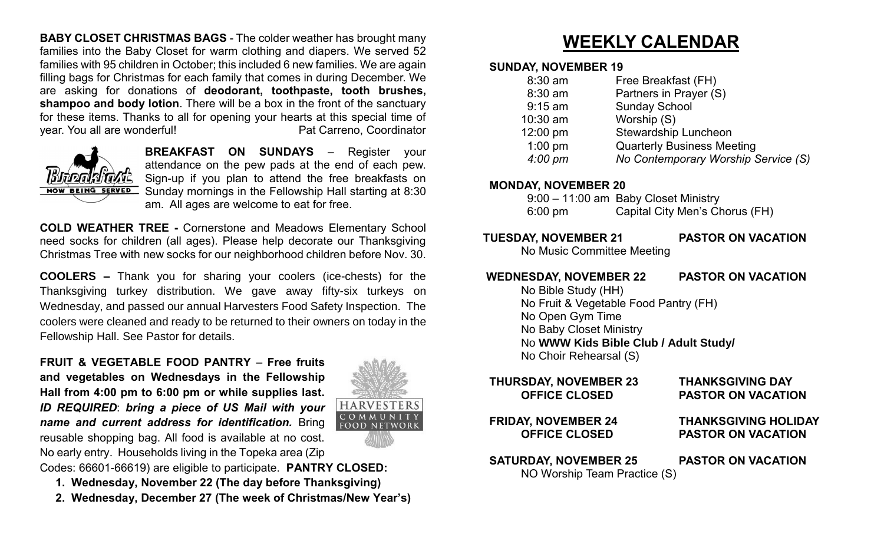**BABY CLOSET CHRISTMAS BAGS** - The colder weather has brought many families into the Baby Closet for warm clothing and diapers. We served 52 families with 95 children in October; this included 6 new families. We are again filling bags for Christmas for each family that comes in during December. We are asking for donations of **deodorant, toothpaste, tooth brushes, shampoo and body lotion**. There will be a box in the front of the sanctuary for these items. Thanks to all for opening your hearts at this special time of year. You all are wonderful! example and the Pat Carreno, Coordinator



**BREAKFAST ON SUNDAYS** – Register your attendance on the pew pads at the end of each pew. Sign-up if you plan to attend the free breakfasts on **NOW BEING SERVED** Sunday mornings in the Fellowship Hall starting at 8:30 am. All ages are welcome to eat for free.

**COLD WEATHER TREE -** Cornerstone and Meadows Elementary School need socks for children (all ages). Please help decorate our Thanksgiving Christmas Tree with new socks for our neighborhood children before Nov. 30.

**COOLERS –** Thank you for sharing your coolers (ice-chests) for the Thanksgiving turkey distribution. We gave away fifty-six turkeys on Wednesday, and passed our annual Harvesters Food Safety Inspection. The coolers were cleaned and ready to be returned to their owners on today in the Fellowship Hall. See Pastor for details.

**FRUIT & VEGETABLE FOOD PANTRY** – **Free fruits and vegetables on Wednesdays in the Fellowship Hall from 4:00 pm to 6:00 pm or while supplies last.** *ID REQUIRED*: *bring a piece of US Mail with your name and current address for identification.* Bring reusable shopping bag. All food is available at no cost. No early entry. Households living in the Topeka area (Zip



# **WEEKLY CALENDAR**

#### **SUNDAY, NOVEMBER 19**

| Partners in Prayer (S)<br>8:30 am                         |  |
|-----------------------------------------------------------|--|
| <b>Sunday School</b><br>$9:15$ am                         |  |
| Worship (S)<br>10:30 am                                   |  |
| <b>Stewardship Luncheon</b><br>12:00 pm                   |  |
| $1:00$ pm<br><b>Quarterly Business Meeting</b>            |  |
| $4:00~\mathrm{pm}$<br>No Contemporary Worship Service (S) |  |

#### **MONDAY, NOVEMBER 20**

|         | 9:00 - 11:00 am Baby Closet Ministry |
|---------|--------------------------------------|
| 6:00 pm | Capital City Men's Chorus (FH)       |

- **TUESDAY, NOVEMBER 21 PASTOR ON VACATION**
	- No Music Committee Meeting

## **WEDNESDAY, NOVEMBER 22 PASTOR ON VACATION**

No Bible Study (HH) No Fruit & Vegetable Food Pantry (FH) No Open Gym Time No Baby Closet Ministry No **WWW Kids Bible Club / Adult Study/** No Choir Rehearsal (S)

# **THURSDAY, NOVEMBER 23 THANKSGIVING DAY OFFICE CLOSED PASTOR ON VACATION FRIDAY, NOVEMBER 24 THANKSGIVING HOLIDAY OFFICE CLOSED PASTOR ON VACATION SATURDAY, NOVEMBER 25 PASTOR ON VACATION** NO Worship Team Practice (S)

Codes: 66601-66619) are eligible to participate. **PANTRY CLOSED: 1. Wednesday, November 22 (The day before Thanksgiving)**

- 
- **2. Wednesday, December 27 (The week of Christmas/New Year's)**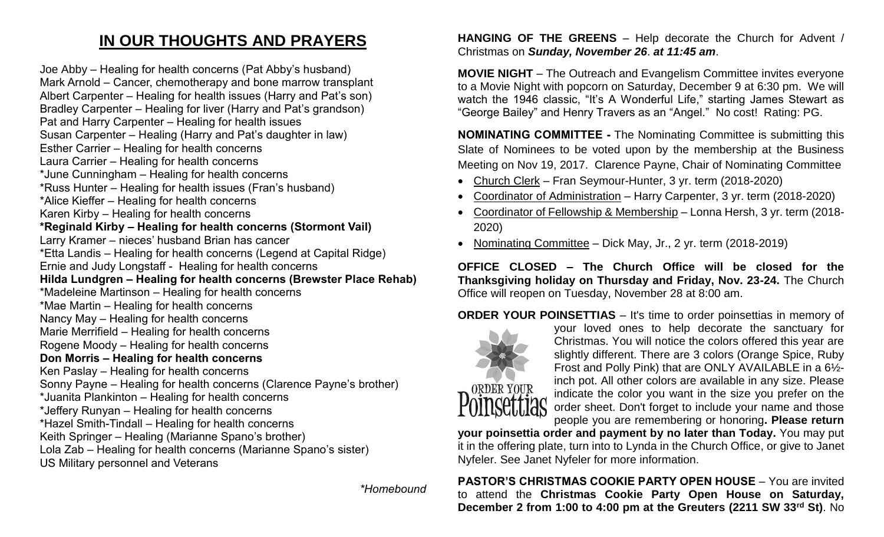# **IN OUR THOUGHTS AND PRAYERS**

Joe Abby – Healing for health concerns (Pat Abby's husband) Mark Arnold – Cancer, chemotherapy and bone marrow transplant Albert Carpenter – Healing for health issues (Harry and Pat's son) Bradley Carpenter – Healing for liver (Harry and Pat's grandson) Pat and Harry Carpenter – Healing for health issues Susan Carpenter – Healing (Harry and Pat's daughter in law) Esther Carrier – Healing for health concerns Laura Carrier – Healing for health concerns \*June Cunningham – Healing for health concerns \*Russ Hunter – Healing for health issues (Fran's husband) \*Alice Kieffer – Healing for health concerns Karen Kirby – Healing for health concerns **\*Reginald Kirby – Healing for health concerns (Stormont Vail)** Larry Kramer – nieces' husband Brian has cancer \*Etta Landis – Healing for health concerns (Legend at Capital Ridge) Ernie and Judy Longstaff - Healing for health concerns **Hilda Lundgren – Healing for health concerns (Brewster Place Rehab)** \*Madeleine Martinson – Healing for health concerns \*Mae Martin – Healing for health concerns Nancy May – Healing for health concerns Marie Merrifield – Healing for health concerns Rogene Moody – Healing for health concerns **Don Morris – Healing for health concerns**  Ken Paslay – Healing for health concerns Sonny Payne – Healing for health concerns (Clarence Payne's brother) \*Juanita Plankinton – Healing for health concerns \*Jeffery Runyan – Healing for health concerns \*Hazel Smith-Tindall – Healing for health concerns Keith Springer – Healing (Marianne Spano's brother) Lola Zab – Healing for health concerns (Marianne Spano's sister) US Military personnel and Veterans

*\*Homebound*

#### **HANGING OF THE GREENS** – Help decorate the Church for Advent / Christmas on *Sunday, November 26*. *at 11:45 am*.

**MOVIE NIGHT** – The Outreach and Evangelism Committee invites everyone to a Movie Night with popcorn on Saturday, December 9 at 6:30 pm. We will watch the 1946 classic, "It's A Wonderful Life," starting James Stewart as "George Bailey" and Henry Travers as an "Angel." No cost! Rating: PG.

**NOMINATING COMMITTEE -** The Nominating Committee is submitting this Slate of Nominees to be voted upon by the membership at the Business Meeting on Nov 19, 2017. Clarence Payne, Chair of Nominating Committee

- Church Clerk Fran Seymour-Hunter, 3 yr. term (2018-2020)
- Coordinator of Administration Harry Carpenter, 3 yr. term (2018-2020)
- Coordinator of Fellowship & Membership Lonna Hersh, 3 yr. term (2018- 2020)
- Nominating Committee Dick May, Jr., 2 yr. term (2018-2019)

**OFFICE CLOSED – The Church Office will be closed for the Thanksgiving holiday on Thursday and Friday, Nov. 23-24.** The Church Office will reopen on Tuesday, November 28 at 8:00 am.

**ORDER YOUR POINSETTIAS** – It's time to order poinsettias in memory of



your loved ones to help decorate the sanctuary for Christmas. You will notice the colors offered this year are slightly different. There are 3 colors (Orange Spice, Ruby Frost and Polly Pink) that are ONLY AVAILABLE in a 6½ inch pot. All other colors are available in any size. Please indicate the color you want in the size you prefer on the order sheet. Don't forget to include your name and those people you are remembering or honoring**. Please return** 

**your poinsettia order and payment by no later than Today.** You may put it in the offering plate, turn into to Lynda in the Church Office, or give to Janet Nyfeler. See Janet Nyfeler for more information.

**PASTOR'S CHRISTMAS COOKIE PARTY OPEN HOUSE** – You are invited to attend the **Christmas Cookie Party Open House on Saturday, December 2 from 1:00 to 4:00 pm at the Greuters (2211 SW 33rd St)**. No